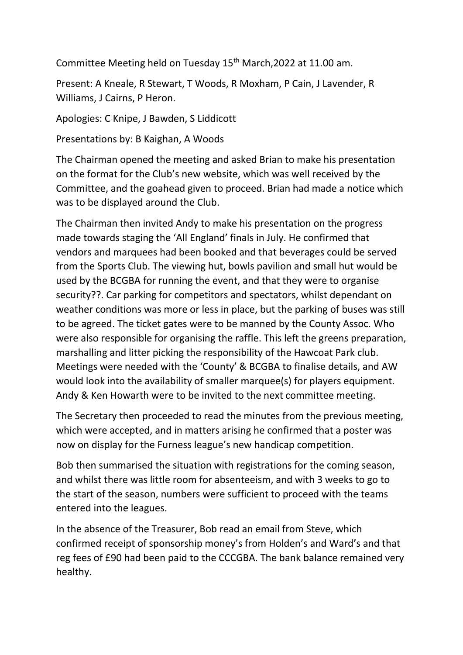Committee Meeting held on Tuesday 15<sup>th</sup> March, 2022 at 11.00 am.

Present: A Kneale, R Stewart, T Woods, R Moxham, P Cain, J Lavender, R Williams, J Cairns, P Heron.

Apologies: C Knipe, J Bawden, S Liddicott

Presentations by: B Kaighan, A Woods

The Chairman opened the meeting and asked Brian to make his presentation on the format for the Club's new website, which was well received by the Committee, and the goahead given to proceed. Brian had made a notice which was to be displayed around the Club.

The Chairman then invited Andy to make his presentation on the progress made towards staging the 'All England' finals in July. He confirmed that vendors and marquees had been booked and that beverages could be served from the Sports Club. The viewing hut, bowls pavilion and small hut would be used by the BCGBA for running the event, and that they were to organise security??. Car parking for competitors and spectators, whilst dependant on weather conditions was more or less in place, but the parking of buses was still to be agreed. The ticket gates were to be manned by the County Assoc. Who were also responsible for organising the raffle. This left the greens preparation, marshalling and litter picking the responsibility of the Hawcoat Park club. Meetings were needed with the 'County' & BCGBA to finalise details, and AW would look into the availability of smaller marquee(s) for players equipment. Andy & Ken Howarth were to be invited to the next committee meeting.

The Secretary then proceeded to read the minutes from the previous meeting, which were accepted, and in matters arising he confirmed that a poster was now on display for the Furness league's new handicap competition.

Bob then summarised the situation with registrations for the coming season, and whilst there was little room for absenteeism, and with 3 weeks to go to the start of the season, numbers were sufficient to proceed with the teams entered into the leagues.

In the absence of the Treasurer, Bob read an email from Steve, which confirmed receipt of sponsorship money's from Holden's and Ward's and that reg fees of £90 had been paid to the CCCGBA. The bank balance remained very healthy.